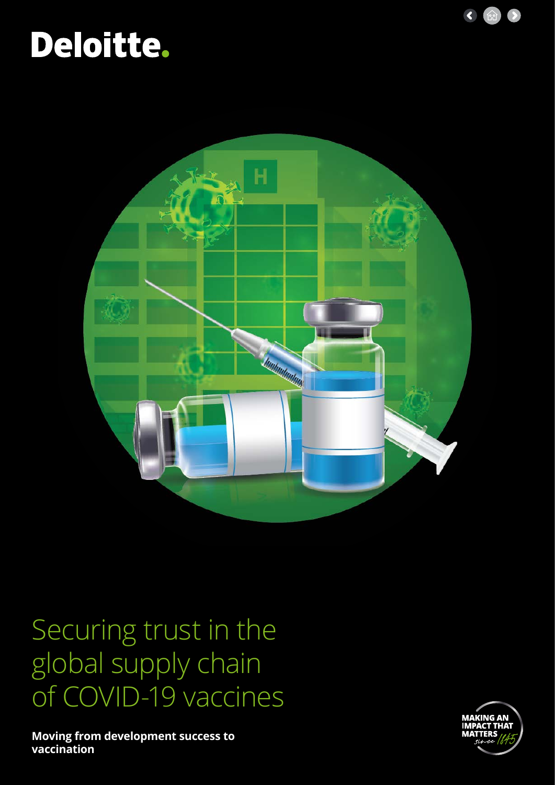

# Deloitte.



## Securing trust in the global supply chain of COVID-19 vaccines

**Moving from development success to vaccination**

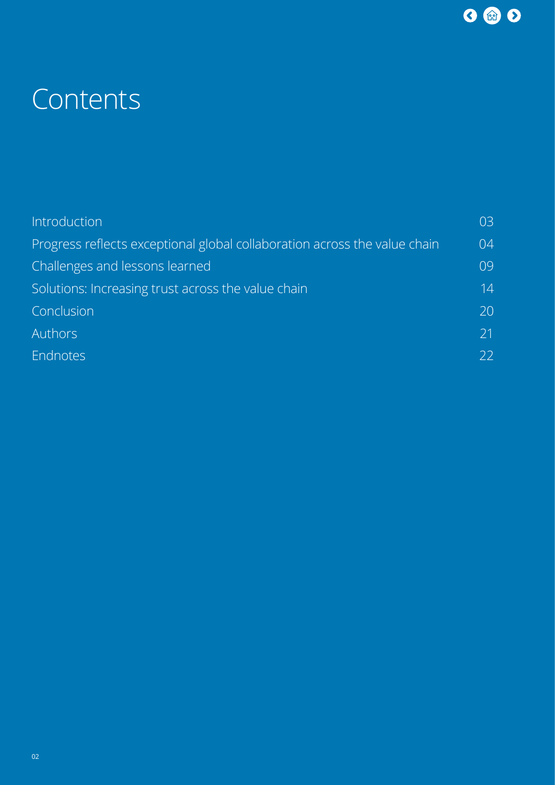

## **Contents**

| Introduction                                                              | 03 |
|---------------------------------------------------------------------------|----|
| Progress reflects exceptional global collaboration across the value chain | 04 |
| Challenges and lessons learned                                            | 09 |
| Solutions: Increasing trust across the value chain                        | 14 |
| Conclusion                                                                | 20 |
| <b>Authors</b>                                                            | 21 |
| Endnotes                                                                  | 22 |
|                                                                           |    |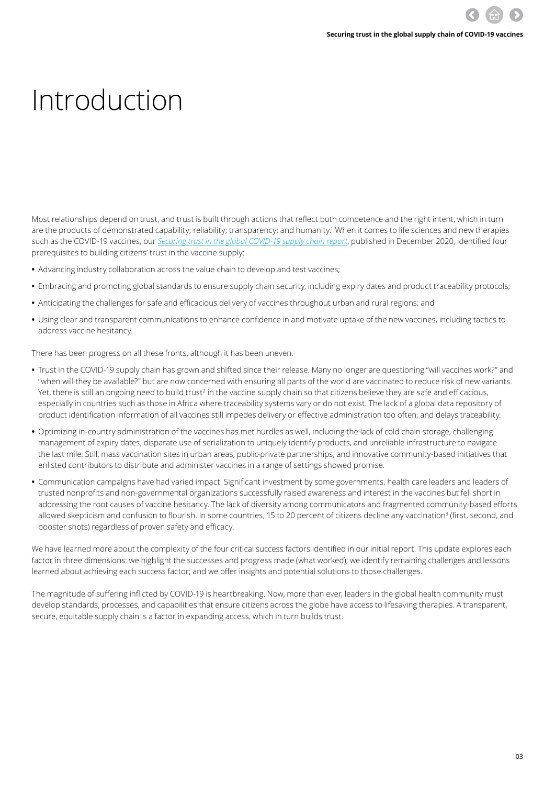# <span id="page-2-0"></span>Introduction

Most relationships depend on trust, and trust is built through actions that reflect both competence and the right intent, which in turn are the products of demonstrated capability; reliability; transparency; and humanity.<sup>1</sup> When it comes to life sciences and new therapies such as the COVID-19 vaccines, our *[Securing trust in the global COVID-19 supply chain report](https://www2.deloitte.com/global/en/pages/life-sciences-and-healthcare/covid-19/securing-trust-in-the-global-covid-19-supply-chain.html)*, published in December 2020, identified four prerequisites to building citizens' trust in the vaccine supply:

- **•** Advancing industry collaboration across the value chain to develop and test vaccines;
- **•** Embracing and promoting global standards to ensure supply chain security, including expiry dates and product traceability protocols;
- **•** Anticipating the challenges for safe and efficacious delivery of vaccines throughout urban and rural regions; and
- **•** Using clear and transparent communications to enhance confidence in and motivate uptake of the new vaccines, including tactics to address vaccine hesitancy.

There has been progress on all these fronts, although it has been uneven.

- **•** Trust in the COVID-19 supply chain has grown and shifted since their release. Many no longer are questioning "will vaccines work?" and "when will they be available?" but are now concerned with ensuring all parts of the world are vaccinated to reduce risk of new variants. Yet, there is still an ongoing need to build trust<sup>2</sup> in the vaccine supply chain so that citizens believe they are safe and efficacious, especially in countries such as those in Africa where traceability systems vary or do not exist. The lack of a global data repository of product identification information of all vaccines still impedes delivery or effective administration too often, and delays traceability.
- **•** Optimizing in-country administration of the vaccines has met hurdles as well, including the lack of cold chain storage, challenging management of expiry dates, disparate use of serialization to uniquely identify products, and unreliable infrastructure to navigate the last mile. Still, mass vaccination sites in urban areas, public-private partnerships, and innovative community-based initiatives that enlisted contributors to distribute and administer vaccines in a range of settings showed promise.
- **•** Communication campaigns have had varied impact. Significant investment by some governments, health care leaders and leaders of trusted nonprofits and non-governmental organizations successfully raised awareness and interest in the vaccines but fell short in addressing the root causes of vaccine hesitancy. The lack of diversity among communicators and fragmented community-based efforts allowed skepticism and confusion to flourish. In some countries, 15 to 20 percent of citizens decline any vaccination<sup>3</sup> (first, second, and booster shots) regardless of proven safety and efficacy.

We have learned more about the complexity of the four critical success factors identified in our initial report. This update explores each factor in three dimensions: we highlight the successes and progress made (what worked); we identify remaining challenges and lessons learned about achieving each success factor; and we offer insights and potential solutions to those challenges.

The magnitude of suffering inflicted by COVID-19 is heartbreaking. Now, more than ever, leaders in the global health community must develop standards, processes, and capabilities that ensure citizens across the globe have access to lifesaving therapies. A transparent, secure, equitable supply chain is a factor in expanding access, which in turn builds trust.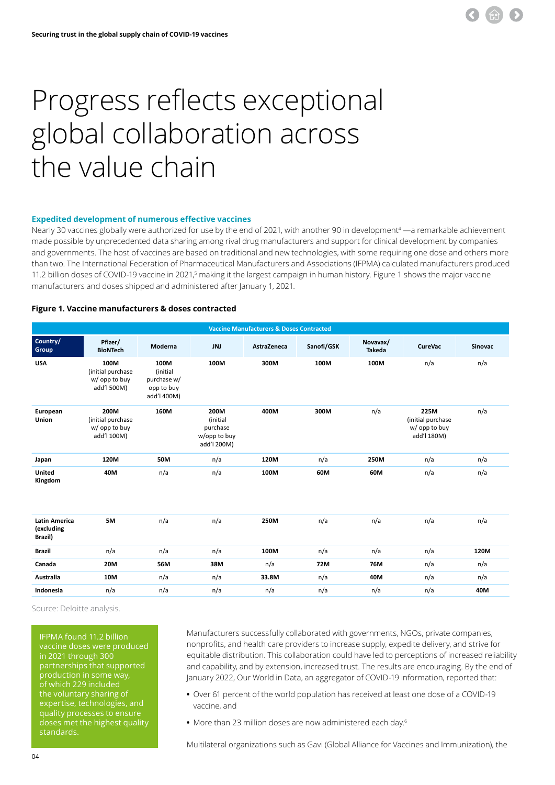

### <span id="page-3-0"></span>Progress reflects exceptional global collaboration across the value chain

#### **Expedited development of numerous effective vaccines**

Nearly 30 vaccines globally were authorized for use by the end of 2021, with another 90 in development<sup>4</sup> —a remarkable achievement made possible by unprecedented data sharing among rival drug manufacturers and support for clinical development by companies and governments. The host of vaccines are based on traditional and new technologies, with some requiring one dose and others more than two. The International Federation of Pharmaceutical Manufacturers and Associations (IFPMA) calculated manufacturers produced 11.2 billion doses of COVID-19 vaccine in 2021,<sup>5</sup> making it the largest campaign in human history. Figure 1 shows the major vaccine manufacturers and doses shipped and administered after January 1, 2021.

#### **Figure 1. Vaccine manufacturers & doses contracted**

| <b>Vaccine Manufacturers &amp; Doses Contracted</b> |                                                           |                                                              |                                                             |             |            |                           |                                                           |                |  |
|-----------------------------------------------------|-----------------------------------------------------------|--------------------------------------------------------------|-------------------------------------------------------------|-------------|------------|---------------------------|-----------------------------------------------------------|----------------|--|
| Country/<br>Group                                   | Pfizer/<br><b>BioNTech</b>                                | Moderna                                                      | JNJ                                                         | AstraZeneca | Sanofi/GSK | Novavax/<br><b>Takeda</b> | <b>CureVac</b>                                            | <b>Sinovac</b> |  |
| <b>USA</b>                                          | 100M<br>(initial purchase<br>w/ opp to buy<br>add'l 500M) | 100M<br>(initial<br>purchase w/<br>opp to buy<br>add'l 400M) | 100M                                                        | 300M        | 100M       | 100M                      | n/a                                                       | n/a            |  |
| European<br>Union                                   | 200M<br>(initial purchase<br>w/ opp to buy<br>add'l 100M) | 160M                                                         | 200M<br>(initial<br>purchase<br>w/opp to buy<br>add'l 200M) | 400M        | 300M       | n/a                       | 225M<br>(initial purchase<br>w/ opp to buy<br>add'l 180M) | n/a            |  |
| Japan                                               | 120M                                                      | 50M                                                          | n/a                                                         | 120M        | n/a        | 250M                      | n/a                                                       | n/a            |  |
| <b>United</b><br>Kingdom                            | 40M                                                       | n/a                                                          | n/a                                                         | 100M        | 60M        | 60M                       | n/a                                                       | n/a            |  |
| <b>Latin America</b><br>(excluding<br>Brazil)       | 5M                                                        | n/a                                                          | n/a                                                         | 250M        | n/a        | n/a                       | n/a                                                       | n/a            |  |
| <b>Brazil</b>                                       | n/a                                                       | n/a                                                          | n/a                                                         | 100M        | n/a        | n/a                       | n/a                                                       | 120M           |  |
| Canada                                              | 20M                                                       | 56M                                                          | 38M                                                         | n/a         | 72M        | 76M                       | n/a                                                       | n/a            |  |
| Australia                                           | 10M                                                       | n/a                                                          | n/a                                                         | 33.8M       | n/a        | 40M                       | n/a                                                       | n/a            |  |
| Indonesia                                           | n/a                                                       | n/a                                                          | n/a                                                         | n/a         | n/a        | n/a                       | n/a                                                       | 40M            |  |

Source: Deloitte analysis.

IFPMA found 11.2 billion vaccine doses were produced in 2021 through 300 partnerships that supported production in some way, of which 229 included the voluntary sharing of expertise, technologies, and quality processes to ensure doses met the highest quality standards.

Manufacturers successfully collaborated with governments, NGOs, private companies, nonprofits, and health care providers to increase supply, expedite delivery, and strive for equitable distribution. This collaboration could have led to perceptions of increased reliability and capability, and by extension, increased trust. The results are encouraging. By the end of January 2022, Our World in Data, an aggregator of COVID-19 information, reported that:

- **•** Over 61 percent of the world population has received at least one dose of a COVID-19 vaccine, and
- **•** More than 23 million doses are now administered each day.<sup>6</sup>

Multilateral organizations such as Gavi (Global Alliance for Vaccines and Immunization), the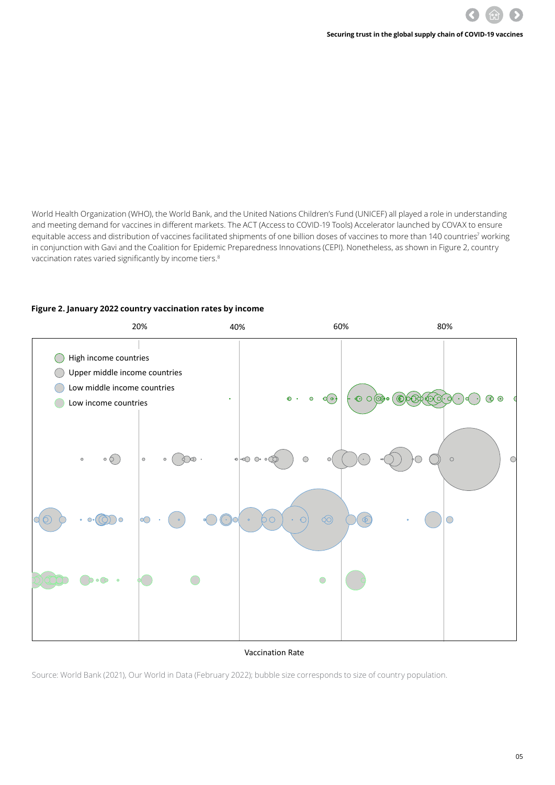World Health Organization (WHO), the World Bank, and the United Nations Children's Fund (UNICEF) all played a role in understanding and meeting demand for vaccines in different markets. The ACT (Access to COVID-19 Tools) Accelerator launched by COVAX to ensure equitable access and distribution of vaccines facilitated shipments of one billion doses of vaccines to more than 140 countries<sup>7</sup> working in conjunction with Gavi and the Coalition for Epidemic Preparedness Innovations (CEPI). Nonetheless, as shown in Figure 2, country vaccination rates varied significantly by income tiers.<sup>8</sup>

### **Figure 2. January 2022 country vaccination rates by income Country initial vaccination rate by income**



#### Vaccination Rate

Source: World Bank (2021), Our World in Data (February 2022); bubble size corresponds to size of country population.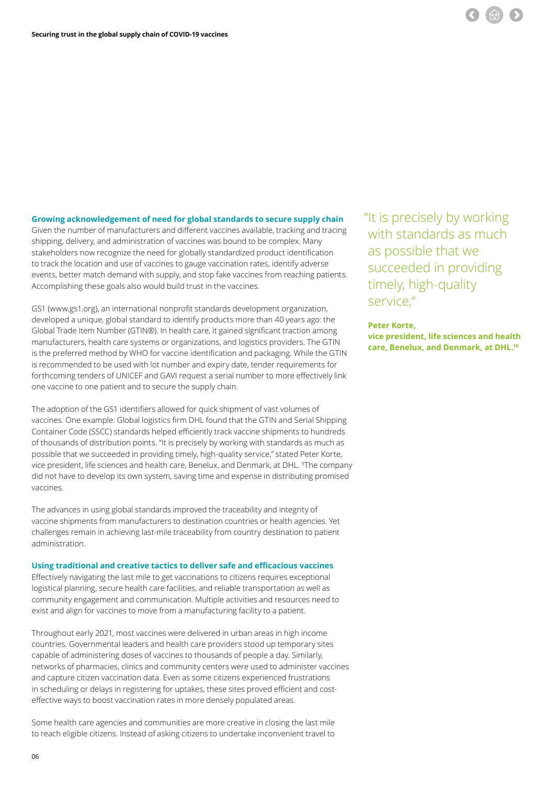

**Growing acknowledgement of need for global standards to secure supply chain** 

Given the number of manufacturers and different vaccines available, tracking and tracing shipping, delivery, and administration of vaccines was bound to be complex. Many stakeholders now recognize the need for globally standardized product identification to track the location and use of vaccines to gauge vaccination rates, identify adverse events, better match demand with supply, and stop fake vaccines from reaching patients. Accomplishing these goals also would build trust in the vaccines.

GS1 (www.gs1.org), an international nonprofit standards development organization, developed a unique, global standard to identify products more than 40 years ago: the Global Trade Item Number (GTIN®). In health care, it gained significant traction among manufacturers, health care systems or organizations, and logistics providers. The GTIN is the preferred method by WHO for vaccine identification and packaging. While the GTIN is recommended to be used with lot number and expiry date, tender requirements for forthcoming tenders of UNICEF and GAVI request a serial number to more effectively link one vaccine to one patient and to secure the supply chain.

The adoption of the GS1 identifiers allowed for quick shipment of vast volumes of vaccines. One example: Global logistics firm DHL found that the GTIN and Serial Shipping Container Code (SSCC) standards helped efficiently track vaccine shipments to hundreds of thousands of distribution points. "It is precisely by working with standards as much as possible that we succeeded in providing timely, high-quality service," stated Peter Korte, vice president, life sciences and health care, Benelux, and Denmark, at DHL. <sup>9</sup>The company did not have to develop its own system, saving time and expense in distributing promised vaccines.

The advances in using global standards improved the traceability and integrity of vaccine shipments from manufacturers to destination countries or health agencies. Yet challenges remain in achieving last-mile traceability from country destination to patient administration.

#### **Using traditional and creative tactics to deliver safe and efficacious vaccines**

Effectively navigating the last mile to get vaccinations to citizens requires exceptional logistical planning, secure health care facilities, and reliable transportation as well as community engagement and communication. Multiple activities and resources need to exist and align for vaccines to move from a manufacturing facility to a patient.

Throughout early 2021, most vaccines were delivered in urban areas in high income countries. Governmental leaders and health care providers stood up temporary sites capable of administering doses of vaccines to thousands of people a day. Similarly, networks of pharmacies, clinics and community centers were used to administer vaccines and capture citizen vaccination data. Even as some citizens experienced frustrations in scheduling or delays in registering for uptakes, these sites proved efficient and costeffective ways to boost vaccination rates in more densely populated areas.

Some health care agencies and communities are more creative in closing the last mile to reach eligible citizens. Instead of asking citizens to undertake inconvenient travel to  "It is precisely by working with standards as much as possible that we succeeded in providing timely, high-quality service,"

#### **Peter Korte,**

**vice president, life sciences and health care, Benelux, and Denmark, at DHL.10**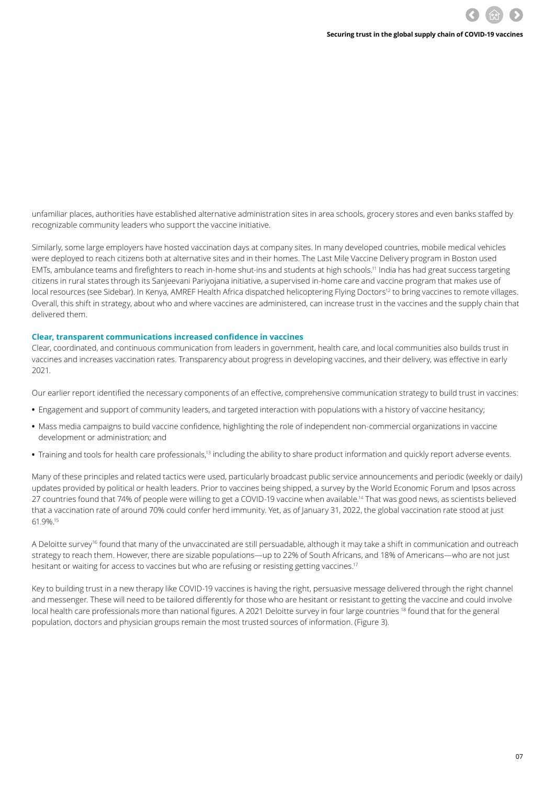unfamiliar places, authorities have established alternative administration sites in area schools, grocery stores and even banks staffed by recognizable community leaders who support the vaccine initiative.

Similarly, some large employers have hosted vaccination days at company sites. In many developed countries, mobile medical vehicles were deployed to reach citizens both at alternative sites and in their homes. The Last Mile Vaccine Delivery program in Boston used EMTs, ambulance teams and firefighters to reach in-home shut-ins and students at high schools.11 India has had great success targeting citizens in rural states through its Sanjeevani Pariyojana initiative, a supervised in-home care and vaccine program that makes use of local resources (see Sidebar). In Kenya, AMREF Health Africa dispatched helicoptering Flying Doctors<sup>12</sup> to bring vaccines to remote villages. Overall, this shift in strategy, about who and where vaccines are administered, can increase trust in the vaccines and the supply chain that delivered them.

#### **Clear, transparent communications increased confidence in vaccines**

Clear, coordinated, and continuous communication from leaders in government, health care, and local communities also builds trust in vaccines and increases vaccination rates. Transparency about progress in developing vaccines, and their delivery, was effective in early 2021.

Our earlier report identified the necessary components of an effective, comprehensive communication strategy to build trust in vaccines:

- **•** Engagement and support of community leaders, and targeted interaction with populations with a history of vaccine hesitancy;
- **•** Mass media campaigns to build vaccine confidence, highlighting the role of independent non-commercial organizations in vaccine development or administration; and
- **•** Training and tools for health care professionals,13 including the ability to share product information and quickly report adverse events.

Many of these principles and related tactics were used, particularly broadcast public service announcements and periodic (weekly or daily) updates provided by political or health leaders. Prior to vaccines being shipped, a survey by the World Economic Forum and Ipsos across 27 countries found that 74% of people were willing to get a COVID-19 vaccine when available.14 That was good news, as scientists believed that a vaccination rate of around 70% could confer herd immunity. Yet, as of January 31, 2022, the global vaccination rate stood at just 61.9%.15

A Deloitte survey<sup>16</sup> found that many of the unvaccinated are still persuadable, although it may take a shift in communication and outreach strategy to reach them. However, there are sizable populations—up to 22% of South Africans, and 18% of Americans—who are not just hesitant or waiting for access to vaccines but who are refusing or resisting getting vaccines.<sup>17</sup>

Key to building trust in a new therapy like COVID-19 vaccines is having the right, persuasive message delivered through the right channel and messenger. These will need to be tailored differently for those who are hesitant or resistant to getting the vaccine and could involve local health care professionals more than national figures. A 2021 Deloitte survey in four large countries 18 found that for the general population, doctors and physician groups remain the most trusted sources of information. (Figure 3).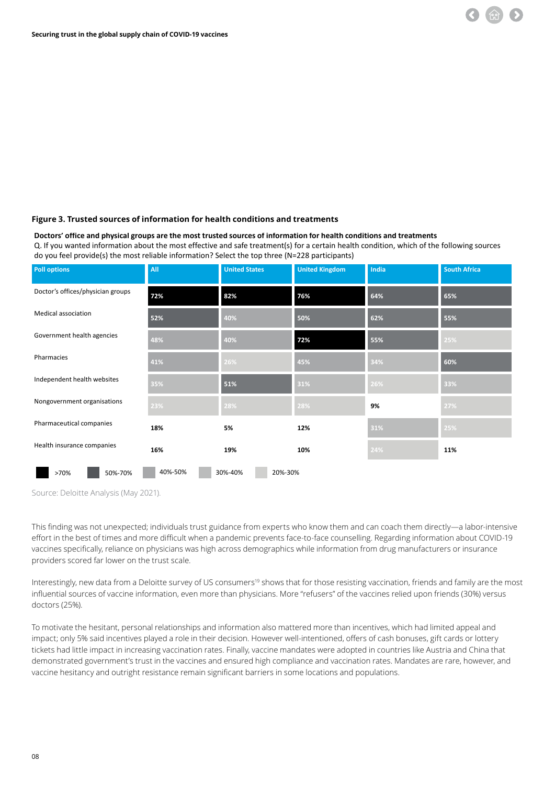

#### **Doctors' office and physical groups are the most trusted sources of information for health conditions and treatments**

Q. If you wanted information about the most effective and safe treatment(s) for a certain health condition, which of the following sources do you feel provide(s) the most reliable information? Select the top three (N=228 participants)

| <b>Poll options</b>               | All     | <b>United States</b> | <b>United Kingdom</b> | India | <b>South Africa</b> |  |
|-----------------------------------|---------|----------------------|-----------------------|-------|---------------------|--|
| Doctor's offices/physician groups | 72%     | 82%                  | 76%                   | 64%   | 65%                 |  |
| Medical association               | 52%     | 40%                  | 50%                   | 62%   | 55%                 |  |
| Government health agencies        | 48%     | 40%                  | 72%                   | 55%   | 25%                 |  |
| Pharmacies                        | 41%     | 26%                  | 45%                   | 34%   | 60%                 |  |
| Independent health websites       | 35%     | 51%                  | 31%                   | 26%   | 33%                 |  |
| Nongovernment organisations       | 23%     | 28%                  | 28%                   | 9%    | 27%                 |  |
| Pharmaceutical companies          | 18%     | 5%                   | 12%                   | 31%   | 25%                 |  |
| Health insurance companies        | 16%     | 19%                  | 10%                   | 24%   | 11%                 |  |
| >70%<br>50%-70%                   | 40%-50% | 30%-40%<br>20%-30%   |                       |       |                     |  |

**Source: Deloitte Analysis (May 2021).** 

This finding was not unexpected; individuals trust guidance from experts who know them and can coach them directly—a labor-intensive effort in the best of times and more difficult when a pandemic prevents face-to-face counselling. Regarding information about COVID-19 vaccines specifically, reliance on physicians was high across demographics while information from drug manufacturers or insurance providers scored far lower on the trust scale.

Interestingly, new data from a Deloitte survey of US consumers<sup>19</sup> shows that for those resisting vaccination, friends and family are the most influential sources of vaccine information, even more than physicians. More "refusers" of the vaccines relied upon friends (30%) versus doctors (25%).

To motivate the hesitant, personal relationships and information also mattered more than incentives, which had limited appeal and impact; only 5% said incentives played a role in their decision. However well-intentioned, offers of cash bonuses, gift cards or lottery tickets had little impact in increasing vaccination rates. Finally, vaccine mandates were adopted in countries like Austria and China that demonstrated government's trust in the vaccines and ensured high compliance and vaccination rates. Mandates are rare, however, and vaccine hesitancy and outright resistance remain significant barriers in some locations and populations.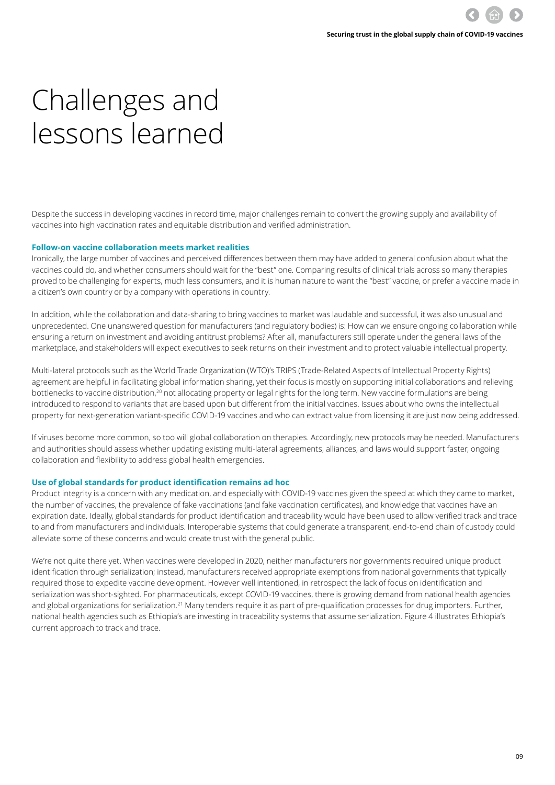### <span id="page-8-0"></span>Challenges and lessons learned

Despite the success in developing vaccines in record time, major challenges remain to convert the growing supply and availability of vaccines into high vaccination rates and equitable distribution and verified administration.

#### **Follow-on vaccine collaboration meets market realities**

Ironically, the large number of vaccines and perceived differences between them may have added to general confusion about what the vaccines could do, and whether consumers should wait for the "best" one. Comparing results of clinical trials across so many therapies proved to be challenging for experts, much less consumers, and it is human nature to want the "best" vaccine, or prefer a vaccine made in a citizen's own country or by a company with operations in country.

In addition, while the collaboration and data-sharing to bring vaccines to market was laudable and successful, it was also unusual and unprecedented. One unanswered question for manufacturers (and regulatory bodies) is: How can we ensure ongoing collaboration while ensuring a return on investment and avoiding antitrust problems? After all, manufacturers still operate under the general laws of the marketplace, and stakeholders will expect executives to seek returns on their investment and to protect valuable intellectual property.

Multi-lateral protocols such as the World Trade Organization (WTO)'s TRIPS (Trade-Related Aspects of Intellectual Property Rights) agreement are helpful in facilitating global information sharing, yet their focus is mostly on supporting initial collaborations and relieving bottlenecks to vaccine distribution,<sup>20</sup> not allocating property or legal rights for the long term. New vaccine formulations are being introduced to respond to variants that are based upon but different from the initial vaccines. Issues about who owns the intellectual property for next-generation variant-specific COVID-19 vaccines and who can extract value from licensing it are just now being addressed.

If viruses become more common, so too will global collaboration on therapies. Accordingly, new protocols may be needed. Manufacturers and authorities should assess whether updating existing multi-lateral agreements, alliances, and laws would support faster, ongoing collaboration and flexibility to address global health emergencies.

#### **Use of global standards for product identification remains ad hoc**

Product integrity is a concern with any medication, and especially with COVID-19 vaccines given the speed at which they came to market, the number of vaccines, the prevalence of fake vaccinations (and fake vaccination certificates), and knowledge that vaccines have an expiration date. Ideally, global standards for product identification and traceability would have been used to allow verified track and trace to and from manufacturers and individuals. Interoperable systems that could generate a transparent, end-to-end chain of custody could alleviate some of these concerns and would create trust with the general public.

We're not quite there yet. When vaccines were developed in 2020, neither manufacturers nor governments required unique product identification through serialization; instead, manufacturers received appropriate exemptions from national governments that typically required those to expedite vaccine development. However well intentioned, in retrospect the lack of focus on identification and serialization was short-sighted. For pharmaceuticals, except COVID-19 vaccines, there is growing demand from national health agencies and global organizations for serialization.<sup>21</sup> Many tenders require it as part of pre-qualification processes for drug importers. Further, national health agencies such as Ethiopia's are investing in traceability systems that assume serialization. Figure 4 illustrates Ethiopia's current approach to track and trace.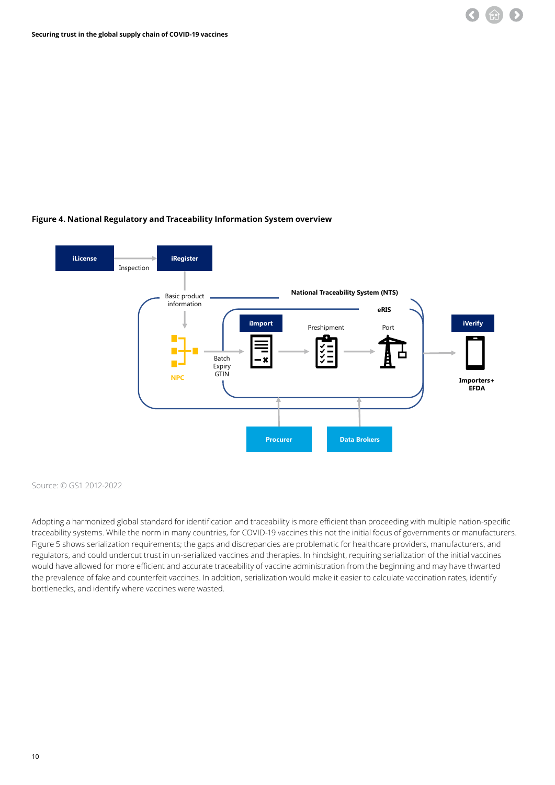### **Figure 4. National Regulatory and Traceability Information System overview National Regulatory and Traceability Information System Overview**



Source: © GS1 2012-2022

Adopting a harmonized global standard for identification and traceability is more efficient than proceeding with multiple nation-specific traceability systems. While the norm in many countries, for COVID-19 vaccines this not the initial focus of governments or manufacturers. Figure 5 shows serialization requirements; the gaps and discrepancies are problematic for healthcare providers, manufacturers, and regulators, and could undercut trust in un-serialized vaccines and therapies. In hindsight, requiring serialization of the initial vaccines would have allowed for more efficient and accurate traceability of vaccine administration from the beginning and may have thwarted the prevalence of fake and counterfeit vaccines. In addition, serialization would make it easier to calculate vaccination rates, identify bottlenecks, and identify where vaccines were wasted.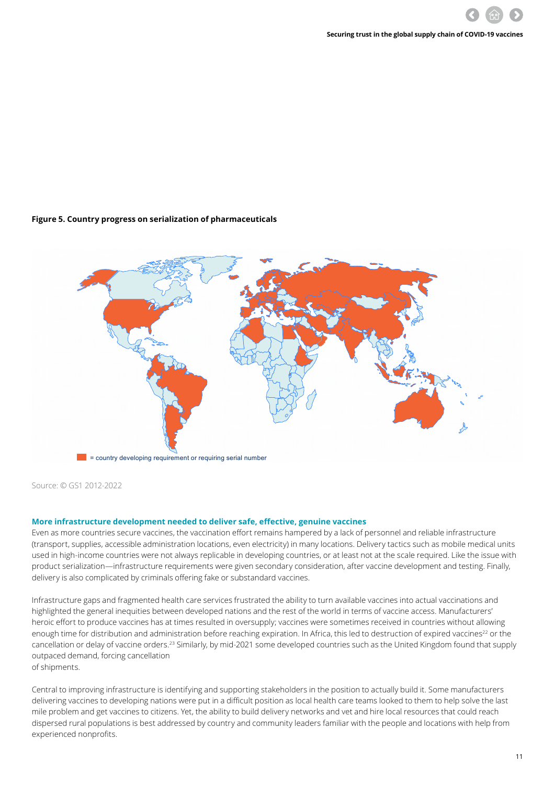#### **Figure 5. Country progress on serialization of pharmaceuticals**



Source: © GS1 2012-2022

#### **More infrastructure development needed to deliver safe, effective, genuine vaccines**

Even as more countries secure vaccines, the vaccination effort remains hampered by a lack of personnel and reliable infrastructure (transport, supplies, accessible administration locations, even electricity) in many locations. Delivery tactics such as mobile medical units used in high-income countries were not always replicable in developing countries, or at least not at the scale required. Like the issue with product serialization—infrastructure requirements were given secondary consideration, after vaccine development and testing. Finally, delivery is also complicated by criminals offering fake or substandard vaccines.

Infrastructure gaps and fragmented health care services frustrated the ability to turn available vaccines into actual vaccinations and highlighted the general inequities between developed nations and the rest of the world in terms of vaccine access. Manufacturers' heroic effort to produce vaccines has at times resulted in oversupply; vaccines were sometimes received in countries without allowing enough time for distribution and administration before reaching expiration. In Africa, this led to destruction of expired vaccines<sup>22</sup> or the cancellation or delay of vaccine orders.<sup>23</sup> Similarly, by mid-2021 some developed countries such as the United Kingdom found that supply outpaced demand, forcing cancellation of shipments.

Central to improving infrastructure is identifying and supporting stakeholders in the position to actually build it. Some manufacturers delivering vaccines to developing nations were put in a difficult position as local health care teams looked to them to help solve the last mile problem and get vaccines to citizens. Yet, the ability to build delivery networks and vet and hire local resources that could reach dispersed rural populations is best addressed by country and community leaders familiar with the people and locations with help from experienced nonprofits.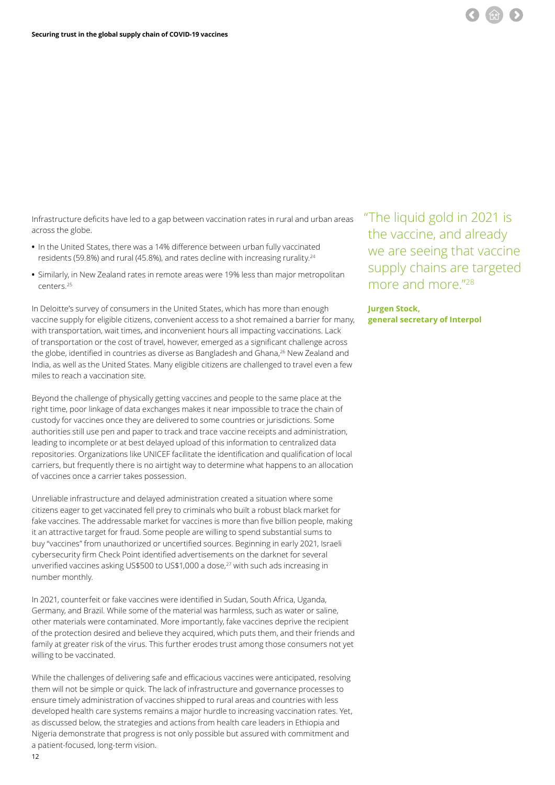Infrastructure deficits have led to a gap between vaccination rates in rural and urban areas across the globe.

- **•** In the United States, there was a 14% difference between urban fully vaccinated residents (59.8%) and rural (45.8%), and rates decline with increasing rurality.24
- **•** Similarly, in New Zealand rates in remote areas were 19% less than major metropolitan centers.25

In Deloitte's survey of consumers in the United States, which has more than enough vaccine supply for eligible citizens, convenient access to a shot remained a barrier for many, with transportation, wait times, and inconvenient hours all impacting vaccinations. Lack of transportation or the cost of travel, however, emerged as a significant challenge across the globe, identified in countries as diverse as Bangladesh and Ghana,<sup>26</sup> New Zealand and India, as well as the United States. Many eligible citizens are challenged to travel even a few miles to reach a vaccination site.

Beyond the challenge of physically getting vaccines and people to the same place at the right time, poor linkage of data exchanges makes it near impossible to trace the chain of custody for vaccines once they are delivered to some countries or jurisdictions. Some authorities still use pen and paper to track and trace vaccine receipts and administration, leading to incomplete or at best delayed upload of this information to centralized data repositories. Organizations like UNICEF facilitate the identification and qualification of local carriers, but frequently there is no airtight way to determine what happens to an allocation of vaccines once a carrier takes possession.

Unreliable infrastructure and delayed administration created a situation where some citizens eager to get vaccinated fell prey to criminals who built a robust black market for fake vaccines. The addressable market for vaccines is more than five billion people, making it an attractive target for fraud. Some people are willing to spend substantial sums to buy "vaccines" from unauthorized or uncertified sources. Beginning in early 2021, Israeli cybersecurity firm Check Point identified advertisements on the darknet for several unverified vaccines asking US\$500 to US\$1,000 a dose,<sup>27</sup> with such ads increasing in number monthly.

In 2021, counterfeit or fake vaccines were identified in Sudan, South Africa, Uganda, Germany, and Brazil. While some of the material was harmless, such as water or saline, other materials were contaminated. More importantly, fake vaccines deprive the recipient of the protection desired and believe they acquired, which puts them, and their friends and family at greater risk of the virus. This further erodes trust among those consumers not yet willing to be vaccinated.

While the challenges of delivering safe and efficacious vaccines were anticipated, resolving them will not be simple or quick. The lack of infrastructure and governance processes to ensure timely administration of vaccines shipped to rural areas and countries with less developed health care systems remains a major hurdle to increasing vaccination rates. Yet, as discussed below, the strategies and actions from health care leaders in Ethiopia and Nigeria demonstrate that progress is not only possible but assured with commitment and a patient-focused, long-term vision.

 "The liquid gold in 2021 is the vaccine, and already we are seeing that vaccine supply chains are targeted more and more."<sup>28</sup>

#### **Jurgen Stock, general secretary of Interpol**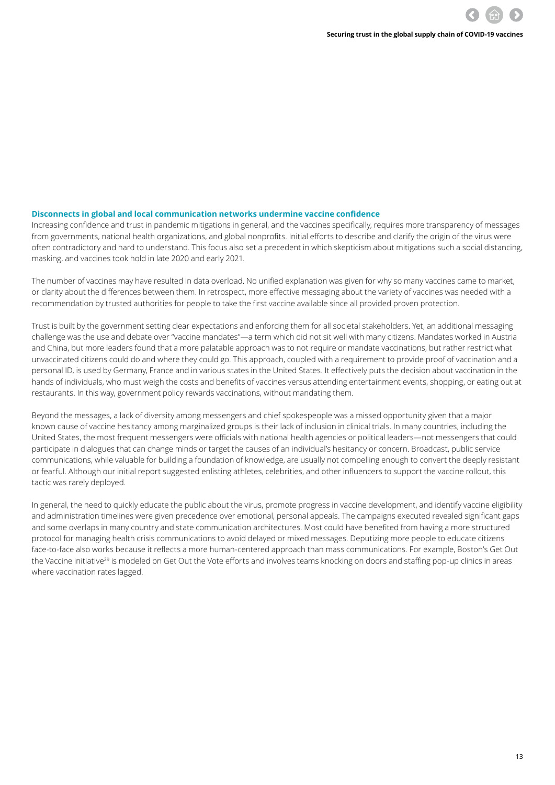#### **Disconnects in global and local communication networks undermine vaccine confidence**

Increasing confidence and trust in pandemic mitigations in general, and the vaccines specifically, requires more transparency of messages from governments, national health organizations, and global nonprofits. Initial efforts to describe and clarify the origin of the virus were often contradictory and hard to understand. This focus also set a precedent in which skepticism about mitigations such a social distancing, masking, and vaccines took hold in late 2020 and early 2021.

The number of vaccines may have resulted in data overload. No unified explanation was given for why so many vaccines came to market, or clarity about the differences between them. In retrospect, more effective messaging about the variety of vaccines was needed with a recommendation by trusted authorities for people to take the first vaccine available since all provided proven protection.

Trust is built by the government setting clear expectations and enforcing them for all societal stakeholders. Yet, an additional messaging challenge was the use and debate over "vaccine mandates"—a term which did not sit well with many citizens. Mandates worked in Austria and China, but more leaders found that a more palatable approach was to not require or mandate vaccinations, but rather restrict what unvaccinated citizens could do and where they could go. This approach, coupled with a requirement to provide proof of vaccination and a personal ID, is used by Germany, France and in various states in the United States. It effectively puts the decision about vaccination in the hands of individuals, who must weigh the costs and benefits of vaccines versus attending entertainment events, shopping, or eating out at restaurants. In this way, government policy rewards vaccinations, without mandating them.

Beyond the messages, a lack of diversity among messengers and chief spokespeople was a missed opportunity given that a major known cause of vaccine hesitancy among marginalized groups is their lack of inclusion in clinical trials. In many countries, including the United States, the most frequent messengers were officials with national health agencies or political leaders—not messengers that could participate in dialogues that can change minds or target the causes of an individual's hesitancy or concern. Broadcast, public service communications, while valuable for building a foundation of knowledge, are usually not compelling enough to convert the deeply resistant or fearful. Although our initial report suggested enlisting athletes, celebrities, and other influencers to support the vaccine rollout, this tactic was rarely deployed.

In general, the need to quickly educate the public about the virus, promote progress in vaccine development, and identify vaccine eligibility and administration timelines were given precedence over emotional, personal appeals. The campaigns executed revealed significant gaps and some overlaps in many country and state communication architectures. Most could have benefited from having a more structured protocol for managing health crisis communications to avoid delayed or mixed messages. Deputizing more people to educate citizens face-to-face also works because it reflects a more human-centered approach than mass communications. For example, Boston's Get Out the Vaccine initiative<sup>29</sup> is modeled on Get Out the Vote efforts and involves teams knocking on doors and staffing pop-up clinics in areas where vaccination rates lagged.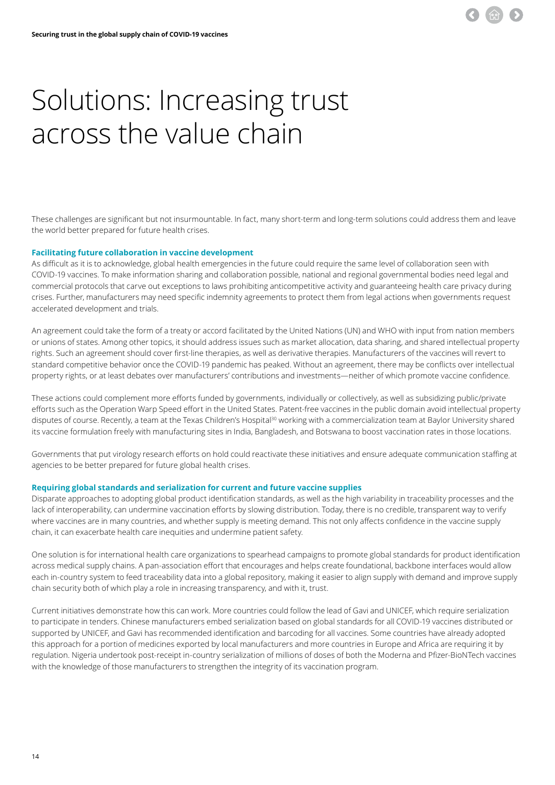### <span id="page-13-0"></span>Solutions: Increasing trust across the value chain

These challenges are significant but not insurmountable. In fact, many short-term and long-term solutions could address them and leave the world better prepared for future health crises.

#### **Facilitating future collaboration in vaccine development**

As difficult as it is to acknowledge, global health emergencies in the future could require the same level of collaboration seen with COVID-19 vaccines. To make information sharing and collaboration possible, national and regional governmental bodies need legal and commercial protocols that carve out exceptions to laws prohibiting anticompetitive activity and guaranteeing health care privacy during crises. Further, manufacturers may need specific indemnity agreements to protect them from legal actions when governments request accelerated development and trials.

An agreement could take the form of a treaty or accord facilitated by the United Nations (UN) and WHO with input from nation members or unions of states. Among other topics, it should address issues such as market allocation, data sharing, and shared intellectual property rights. Such an agreement should cover first-line therapies, as well as derivative therapies. Manufacturers of the vaccines will revert to standard competitive behavior once the COVID-19 pandemic has peaked. Without an agreement, there may be conflicts over intellectual property rights, or at least debates over manufacturers' contributions and investments—neither of which promote vaccine confidence.

These actions could complement more efforts funded by governments, individually or collectively, as well as subsidizing public/private efforts such as the Operation Warp Speed effort in the United States. Patent-free vaccines in the public domain avoid intellectual property disputes of course. Recently, a team at the Texas Children's Hospital<sup>30</sup> working with a commercialization team at Baylor University shared its vaccine formulation freely with manufacturing sites in India, Bangladesh, and Botswana to boost vaccination rates in those locations.

Governments that put virology research efforts on hold could reactivate these initiatives and ensure adequate communication staffing at agencies to be better prepared for future global health crises.

#### **Requiring global standards and serialization for current and future vaccine supplies**

Disparate approaches to adopting global product identification standards, as well as the high variability in traceability processes and the lack of interoperability, can undermine vaccination efforts by slowing distribution. Today, there is no credible, transparent way to verify where vaccines are in many countries, and whether supply is meeting demand. This not only affects confidence in the vaccine supply chain, it can exacerbate health care inequities and undermine patient safety.

One solution is for international health care organizations to spearhead campaigns to promote global standards for product identification across medical supply chains. A pan-association effort that encourages and helps create foundational, backbone interfaces would allow each in-country system to feed traceability data into a global repository, making it easier to align supply with demand and improve supply chain security both of which play a role in increasing transparency, and with it, trust.

Current initiatives demonstrate how this can work. More countries could follow the lead of Gavi and UNICEF, which require serialization to participate in tenders. Chinese manufacturers embed serialization based on global standards for all COVID-19 vaccines distributed or supported by UNICEF, and Gavi has recommended identification and barcoding for all vaccines. Some countries have already adopted this approach for a portion of medicines exported by local manufacturers and more countries in Europe and Africa are requiring it by regulation. Nigeria undertook post-receipt in-country serialization of millions of doses of both the Moderna and Pfizer-BioNTech vaccines with the knowledge of those manufacturers to strengthen the integrity of its vaccination program.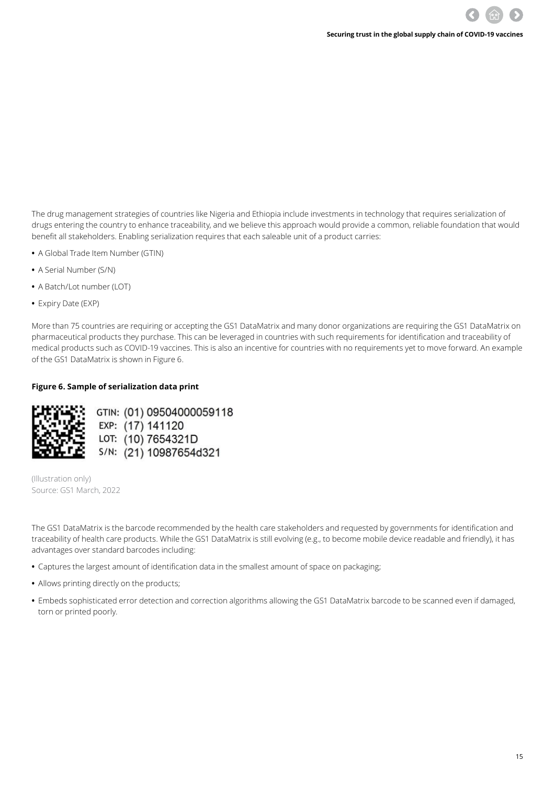The drug management strategies of countries like Nigeria and Ethiopia include investments in technology that requires serialization of drugs entering the country to enhance traceability, and we believe this approach would provide a common, reliable foundation that would benefit all stakeholders. Enabling serialization requires that each saleable unit of a product carries:

- **•** A Global Trade Item Number (GTIN)
- **•** A Serial Number (S/N)
- **•** A Batch/Lot number (LOT)
- **•** Expiry Date (EXP)

More than 75 countries are requiring or accepting the GS1 DataMatrix and many donor organizations are requiring the GS1 DataMatrix on pharmaceutical products they purchase. This can be leveraged in countries with such requirements for identification and traceability of medical products such as COVID-19 vaccines. This is also an incentive for countries with no requirements yet to move forward. An example of the GS1 DataMatrix is shown in Figure 6.

#### **Figure 6. Sample of serialization data print**



GTIN: (01) 09504000059118 EXP: (17) 141120 LOT: (10) 7654321D S/N: (21) 10987654d321

(Illustration only) Source: GS1 March, 2022

The GS1 DataMatrix is the barcode recommended by the health care stakeholders and requested by governments for identification and traceability of health care products. While the GS1 DataMatrix is still evolving (e.g., to become mobile device readable and friendly), it has advantages over standard barcodes including:

- **•** Captures the largest amount of identification data in the smallest amount of space on packaging;
- **•** Allows printing directly on the products;
- **•** Embeds sophisticated error detection and correction algorithms allowing the GS1 DataMatrix barcode to be scanned even if damaged, torn or printed poorly.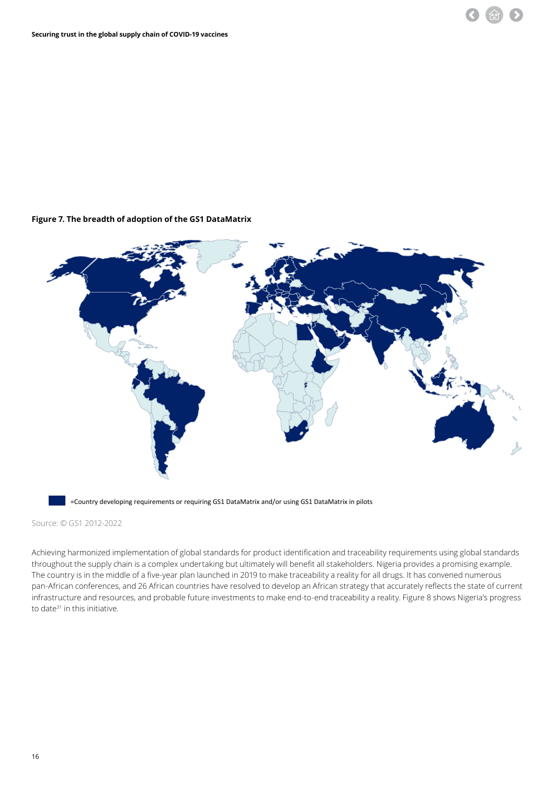#### **Figure 7. The breadth of adoption of the GS1 DataMatrix**



=Country developing requirements or requiring GS1 DataMatrix and/or using GS1 DataMatrix in pilots

Source: © GS1 2012-2022

Achieving harmonized implementation of global standards for product identification and traceability requirements using global standards throughout the supply chain is a complex undertaking but ultimately will benefit all stakeholders. Nigeria provides a promising example. The country is in the middle of a five-year plan launched in 2019 to make traceability a reality for all drugs. It has convened numerous pan-African conferences, and 26 African countries have resolved to develop an African strategy that accurately reflects the state of current infrastructure and resources, and probable future investments to make end-to-end traceability a reality. Figure 8 shows Nigeria's progress to date<sup>31</sup> in this initiative.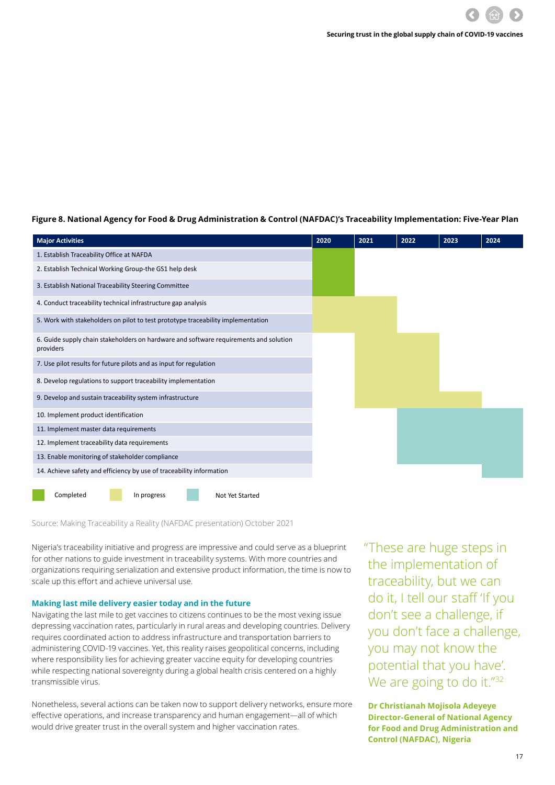**Figure 8. National Agency for Food & Drug Administration & Control (NAFDAC)'s Traceability Implementation: Five-Year Plan NAFDAC's Traceability Implementation: Five-Year Plan**

| <b>Major Activities</b>                                                                            | 2020 | 2021 | 2022 | 2023 | 2024 |
|----------------------------------------------------------------------------------------------------|------|------|------|------|------|
| 1. Establish Traceability Office at NAFDA                                                          |      |      |      |      |      |
| 2. Establish Technical Working Group-the GS1 help desk                                             |      |      |      |      |      |
| 3. Establish National Traceability Steering Committee                                              |      |      |      |      |      |
| 4. Conduct traceability technical infrastructure gap analysis                                      |      |      |      |      |      |
| 5. Work with stakeholders on pilot to test prototype traceability implementation                   |      |      |      |      |      |
| 6. Guide supply chain stakeholders on hardware and software requirements and solution<br>providers |      |      |      |      |      |
| 7. Use pilot results for future pilots and as input for regulation                                 |      |      |      |      |      |
| 8. Develop regulations to support traceability implementation                                      |      |      |      |      |      |
| 9. Develop and sustain traceability system infrastructure                                          |      |      |      |      |      |
| 10. Implement product identification                                                               |      |      |      |      |      |
| 11. Implement master data requirements                                                             |      |      |      |      |      |
| 12. Implement traceability data requirements                                                       |      |      |      |      |      |
| 13. Enable monitoring of stakeholder compliance                                                    |      |      |      |      |      |
| 14. Achieve safety and efficiency by use of traceability information                               |      |      |      |      |      |
| Completed<br>In progress<br>Not Yet Started                                                        |      |      |      |      |      |

Source: Making Traceability a Reality (NAFDAC presentation) October 2021

Nigeria's traceability initiative and progress are impressive and could serve as a blueprint for other nations to guide investment in traceability systems. With more countries and organizations requiring serialization and extensive product information, the time is now to scale up this effort and achieve universal use.

#### **Making last mile delivery easier today and in the future**

Navigating the last mile to get vaccines to citizens continues to be the most vexing issue depressing vaccination rates, particularly in rural areas and developing countries. Delivery requires coordinated action to address infrastructure and transportation barriers to administering COVID-19 vaccines. Yet, this reality raises geopolitical concerns, including where responsibility lies for achieving greater vaccine equity for developing countries while respecting national sovereignty during a global health crisis centered on a highly transmissible virus.

Nonetheless, several actions can be taken now to support delivery networks, ensure more effective operations, and increase transparency and human engagement—all of which would drive greater trust in the overall system and higher vaccination rates.

 "These are huge steps in the implementation of traceability, but we can do it, I tell our staff 'If you don't see a challenge, if you don't face a challenge, you may not know the potential that you have'. We are going to do it."<sup>32</sup>

**Dr Christianah Mojisola Adeyeye Director-General of National Agency for Food and Drug Administration and Control (NAFDAC), Nigeria**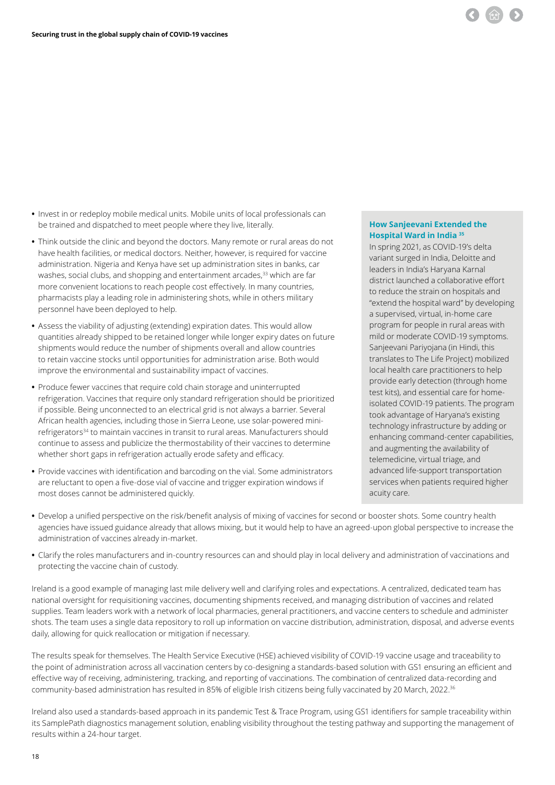

- **•** Invest in or redeploy mobile medical units. Mobile units of local professionals can be trained and dispatched to meet people where they live, literally.
- **•** Think outside the clinic and beyond the doctors. Many remote or rural areas do not have health facilities, or medical doctors. Neither, however, is required for vaccine administration. Nigeria and Kenya have set up administration sites in banks, car washes, social clubs, and shopping and entertainment arcades,<sup>33</sup> which are far more convenient locations to reach people cost effectively. In many countries, pharmacists play a leading role in administering shots, while in others military personnel have been deployed to help.
- **•** Assess the viability of adjusting (extending) expiration dates. This would allow quantities already shipped to be retained longer while longer expiry dates on future shipments would reduce the number of shipments overall and allow countries to retain vaccine stocks until opportunities for administration arise. Both would improve the environmental and sustainability impact of vaccines.
- **•** Produce fewer vaccines that require cold chain storage and uninterrupted refrigeration. Vaccines that require only standard refrigeration should be prioritized if possible. Being unconnected to an electrical grid is not always a barrier. Several African health agencies, including those in Sierra Leone, use solar-powered minirefrigerators34 to maintain vaccines in transit to rural areas. Manufacturers should continue to assess and publicize the thermostability of their vaccines to determine whether short gaps in refrigeration actually erode safety and efficacy.
- **•** Provide vaccines with identification and barcoding on the vial. Some administrators are reluctant to open a five-dose vial of vaccine and trigger expiration windows if most doses cannot be administered quickly.

#### **How Sanjeevani Extended the Hospital Ward in India 35**

In spring 2021, as COVID-19's delta variant surged in India, Deloitte and leaders in India's Haryana Karnal district launched a collaborative effort to reduce the strain on hospitals and "extend the hospital ward" by developing a supervised, virtual, in-home care program for people in rural areas with mild or moderate COVID-19 symptoms. Sanjeevani Pariyojana (in Hindi, this translates to The Life Project) mobilized local health care practitioners to help provide early detection (through home test kits), and essential care for homeisolated COVID-19 patients. The program took advantage of Haryana's existing technology infrastructure by adding or enhancing command-center capabilities, and augmenting the availability of telemedicine, virtual triage, and advanced life-support transportation services when patients required higher acuity care.

- **•** Develop a unified perspective on the risk/benefit analysis of mixing of vaccines for second or booster shots. Some country health agencies have issued guidance already that allows mixing, but it would help to have an agreed-upon global perspective to increase the administration of vaccines already in-market.
- **•** Clarify the roles manufacturers and in-country resources can and should play in local delivery and administration of vaccinations and protecting the vaccine chain of custody.

Ireland is a good example of managing last mile delivery well and clarifying roles and expectations. A centralized, dedicated team has national oversight for requisitioning vaccines, documenting shipments received, and managing distribution of vaccines and related supplies. Team leaders work with a network of local pharmacies, general practitioners, and vaccine centers to schedule and administer shots. The team uses a single data repository to roll up information on vaccine distribution, administration, disposal, and adverse events daily, allowing for quick reallocation or mitigation if necessary.

The results speak for themselves. The Health Service Executive (HSE) achieved visibility of COVID-19 vaccine usage and traceability to the point of administration across all vaccination centers by co-designing a standards-based solution with GS1 ensuring an efficient and effective way of receiving, administering, tracking, and reporting of vaccinations. The combination of centralized data-recording and community-based administration has resulted in 85% of eligible Irish citizens being fully vaccinated by 20 March, 2022.<sup>36</sup>

Ireland also used a standards-based approach in its pandemic Test & Trace Program, using GS1 identifiers for sample traceability within its SamplePath diagnostics management solution, enabling visibility throughout the testing pathway and supporting the management of results within a 24-hour target.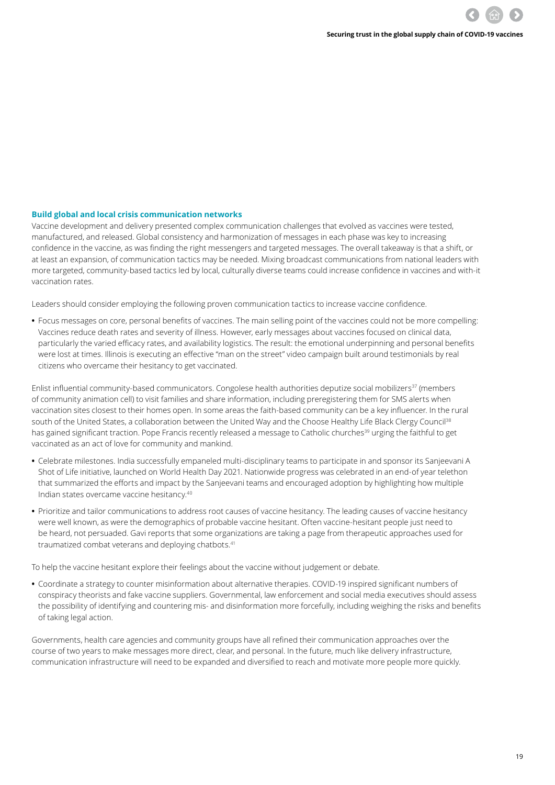#### **Build global and local crisis communication networks**

Vaccine development and delivery presented complex communication challenges that evolved as vaccines were tested, manufactured, and released. Global consistency and harmonization of messages in each phase was key to increasing confidence in the vaccine, as was finding the right messengers and targeted messages. The overall takeaway is that a shift, or at least an expansion, of communication tactics may be needed. Mixing broadcast communications from national leaders with more targeted, community-based tactics led by local, culturally diverse teams could increase confidence in vaccines and with-it vaccination rates.

Leaders should consider employing the following proven communication tactics to increase vaccine confidence.

**•** Focus messages on core, personal benefits of vaccines. The main selling point of the vaccines could not be more compelling: Vaccines reduce death rates and severity of illness. However, early messages about vaccines focused on clinical data, particularly the varied efficacy rates, and availability logistics. The result: the emotional underpinning and personal benefits were lost at times. Illinois is executing an effective "man on the street" video campaign built around testimonials by real citizens who overcame their hesitancy to get vaccinated.

Enlist influential community-based communicators. Congolese health authorities deputize social mobilizers<sup>37</sup> (members of community animation cell) to visit families and share information, including preregistering them for SMS alerts when vaccination sites closest to their homes open. In some areas the faith-based community can be a key influencer. In the rural south of the United States, a collaboration between the United Way and the Choose Healthy Life Black Clergy Council<sup>38</sup> has gained significant traction. Pope Francis recently released a message to Catholic churches<sup>39</sup> urging the faithful to get vaccinated as an act of love for community and mankind.

- **•** Celebrate milestones. India successfully empaneled multi-disciplinary teams to participate in and sponsor its Sanjeevani A Shot of Life initiative, launched on World Health Day 2021. Nationwide progress was celebrated in an end-of year telethon that summarized the efforts and impact by the Sanjeevani teams and encouraged adoption by highlighting how multiple Indian states overcame vaccine hesitancy.40
- **•** Prioritize and tailor communications to address root causes of vaccine hesitancy. The leading causes of vaccine hesitancy were well known, as were the demographics of probable vaccine hesitant. Often vaccine-hesitant people just need to be heard, not persuaded. Gavi reports that some organizations are taking a page from therapeutic approaches used for traumatized combat veterans and deploying chatbots.<sup>41</sup>

To help the vaccine hesitant explore their feelings about the vaccine without judgement or debate.

**•** Coordinate a strategy to counter misinformation about alternative therapies. COVID-19 inspired significant numbers of conspiracy theorists and fake vaccine suppliers. Governmental, law enforcement and social media executives should assess the possibility of identifying and countering mis- and disinformation more forcefully, including weighing the risks and benefits of taking legal action.

Governments, health care agencies and community groups have all refined their communication approaches over the course of two years to make messages more direct, clear, and personal. In the future, much like delivery infrastructure, communication infrastructure will need to be expanded and diversified to reach and motivate more people more quickly.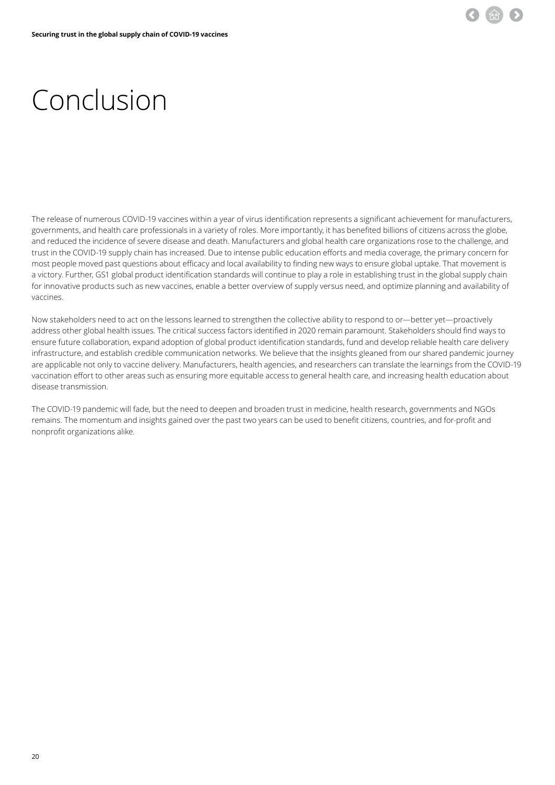

# <span id="page-19-0"></span>Conclusion

The release of numerous COVID-19 vaccines within a year of virus identification represents a significant achievement for manufacturers, governments, and health care professionals in a variety of roles. More importantly, it has benefited billions of citizens across the globe, and reduced the incidence of severe disease and death. Manufacturers and global health care organizations rose to the challenge, and trust in the COVID-19 supply chain has increased. Due to intense public education efforts and media coverage, the primary concern for most people moved past questions about efficacy and local availability to finding new ways to ensure global uptake. That movement is a victory. Further, GS1 global product identification standards will continue to play a role in establishing trust in the global supply chain for innovative products such as new vaccines, enable a better overview of supply versus need, and optimize planning and availability of vaccines.

Now stakeholders need to act on the lessons learned to strengthen the collective ability to respond to or—better yet—proactively address other global health issues. The critical success factors identified in 2020 remain paramount. Stakeholders should find ways to ensure future collaboration, expand adoption of global product identification standards, fund and develop reliable health care delivery infrastructure, and establish credible communication networks. We believe that the insights gleaned from our shared pandemic journey are applicable not only to vaccine delivery. Manufacturers, health agencies, and researchers can translate the learnings from the COVID-19 vaccination effort to other areas such as ensuring more equitable access to general health care, and increasing health education about disease transmission.

The COVID-19 pandemic will fade, but the need to deepen and broaden trust in medicine, health research, governments and NGOs remains. The momentum and insights gained over the past two years can be used to benefit citizens, countries, and for-profit and nonprofit organizations alike.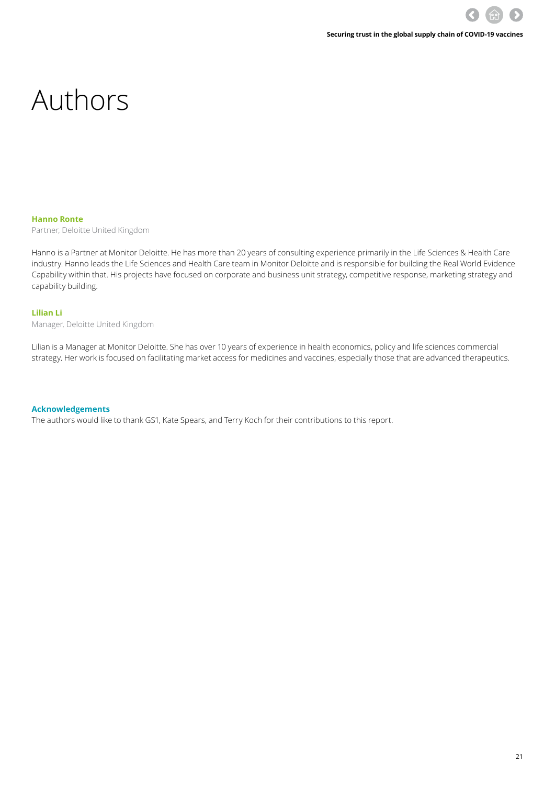### <span id="page-20-0"></span>Authors

#### **Hanno Ronte**

Partner, Deloitte United Kingdom

Hanno is a Partner at Monitor Deloitte. He has more than 20 years of consulting experience primarily in the Life Sciences & Health Care industry. Hanno leads the Life Sciences and Health Care team in Monitor Deloitte and is responsible for building the Real World Evidence Capability within that. His projects have focused on corporate and business unit strategy, competitive response, marketing strategy and capability building.

#### **Lilian Li**

Manager, Deloitte United Kingdom

Lilian is a Manager at Monitor Deloitte. She has over 10 years of experience in health economics, policy and life sciences commercial strategy. Her work is focused on facilitating market access for medicines and vaccines, especially those that are advanced therapeutics.

#### **Acknowledgements**

The authors would like to thank GS1, Kate Spears, and Terry Koch for their contributions to this report.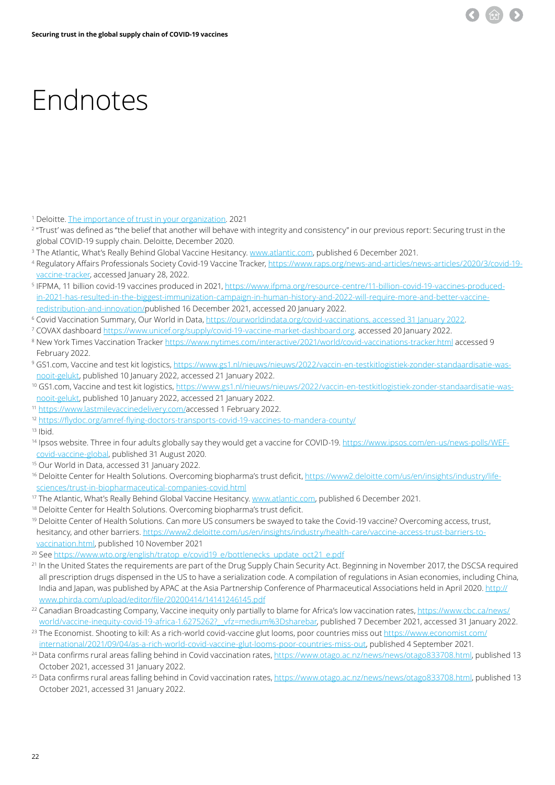

### <span id="page-21-0"></span>Endnotes

- <sup>1</sup> Deloitte. <u>The importance of trust in your organization</u>. 2021
- 2 "Trust' was defined as "the belief that another will behave with integrity and consistency" in our previous report: Securing trust in the global COVID-19 supply chain. Deloitte, December 2020.
- <sup>3</sup> The Atlantic, What's Really Behind Global Vaccine Hesitancy. <u>www.atlantic.com</u>, published 6 December 2021.
- 4 Regulatory Affairs Professionals Society Covid-19 Vaccine Tracker, [https://www.raps.org/news-and-articles/news-articles/2020/3/covid-19](https://www.raps.org/news-and-articles/news-articles/2020/3/covid-19-vaccine-tracker) [vaccine-tracker,](https://www.raps.org/news-and-articles/news-articles/2020/3/covid-19-vaccine-tracker) accessed January 28, 2022.
- 5 IFPMA, 11 billion covid-19 vaccines produced in 2021, [https://www.ifpma.org/resource-centre/11-billion-covid-19-vaccines-produced](https://www.ifpma.org/resource-centre/11-billion-covid-19-vaccines-produced-in-2021-has-resulted-in-the-biggest-immunization-campaign-in-human-history-and-2022-will-require-more-and-better-vaccine-redistribution-and-innovation/)[in-2021-has-resulted-in-the-biggest-immunization-campaign-in-human-history-and-2022-will-require-more-and-better-vaccine](https://www.ifpma.org/resource-centre/11-billion-covid-19-vaccines-produced-in-2021-has-resulted-in-the-biggest-immunization-campaign-in-human-history-and-2022-will-require-more-and-better-vaccine-redistribution-and-innovation/)[redistribution-and-innovation/](https://www.ifpma.org/resource-centre/11-billion-covid-19-vaccines-produced-in-2021-has-resulted-in-the-biggest-immunization-campaign-in-human-history-and-2022-will-require-more-and-better-vaccine-redistribution-and-innovation/)published 16 December 2021, accessed 20 January 2022.
- 6 Covid Vaccination Summary, Our World in Data, [https://ourworldindata.org/covid-vaccinations, accessed 31 January 2022](https://ourworldindata.org/covid-vaccinations).
- <sup>7</sup> COVAX dashboard <u><https://www.unicef.org/supply/covid-19-vaccine-market-dashboard.org></u>. accessed 20 January 2022.
- 8 New York Times Vaccination Tracker<https://www.nytimes.com/interactive/2021/world/covid-vaccinations-tracker.html> accessed 9 February 2022.
- 9 GS1.com, Vaccine and test kit logistics, [https://www.gs1.nl/nieuws/nieuws/2022/vaccin-en-testkitlogistiek-zonder-standaardisatie-was](https://www.gs1.nl/nieuws/nieuws/2022/vaccin-en-testkitlogistiek-zonder-standaardisatie-was-nooit-gelukt)[nooit-gelukt](https://www.gs1.nl/nieuws/nieuws/2022/vaccin-en-testkitlogistiek-zonder-standaardisatie-was-nooit-gelukt), published 10 January 2022, accessed 21 January 2022.
- <sup>10</sup> GS1.com, Vaccine and test kit logistics, [https://www.gs1.nl/nieuws/nieuws/2022/vaccin-en-testkitlogistiek-zonder-standaardisatie-was](https://www.gs1.nl/nieuws/nieuws/2022/vaccin-en-testkitlogistiek-zonder-standaardisatie-was-nooit-gelukt)[nooit-gelukt](https://www.gs1.nl/nieuws/nieuws/2022/vaccin-en-testkitlogistiek-zonder-standaardisatie-was-nooit-gelukt), published 10 January 2022, accessed 21 January 2022.
- <sup>11</sup> <https://www.lastmilevaccinedelivery.com/>accessed 1 February 2022.
- <sup>12</sup> <https://flydoc.org/amref-flying-doctors-transports-covid-19-vaccines-to-mandera-county/>
- $13$  Ibid.
- 14 Ipsos website. Three in four adults globally say they would get a vaccine for COVID-19. [https://www.ipsos.com/en-us/news-polls/WEF](https://www.ipsos.com/en-us/news-polls/WEF-covid-vaccine-global)[covid-vaccine-global](https://www.ipsos.com/en-us/news-polls/WEF-covid-vaccine-global), published 31 August 2020.
- 15 Our World in Data, accessed 31 January 2022.
- 16 Deloitte Center for Health Solutions. Overcoming biopharma's trust deficit, [https://www2.deloitte.com/us/en/insights/industry/life](https://www2.deloitte.com/us/en/insights/industry/life-sciences/trust-in-biopharmaceutical-companies-covid.html)[sciences/trust-in-biopharmaceutical-companies-covid.html](https://www2.deloitte.com/us/en/insights/industry/life-sciences/trust-in-biopharmaceutical-companies-covid.html)
- <sup>17</sup> The Atlantic, What's Really Behind Global Vaccine Hesitancy. [www.atlantic.com](http://www.atlantic.com/), published 6 December 2021.
- <sup>18</sup> Deloitte Center for Health Solutions. Overcoming biopharma's trust deficit.
- <sup>19</sup> Deloitte Center of Health Solutions. Can more US consumers be swayed to take the Covid-19 vaccine? Overcoming access, trust, hesitancy, and other barriers. [https://www2.deloitte.com/us/en/insights/industry/health-care/vaccine-access-trust-barriers-to](https://www2.deloitte.com/us/en/insights/industry/health-care/vaccine-access-trust-barriers-to-vaccination.html)[vaccination.html](https://www2.deloitte.com/us/en/insights/industry/health-care/vaccine-access-trust-barriers-to-vaccination.html), published 10 November 2021
- <sup>20</sup> See [https://www.wto.org/english/tratop\\_e/covid19\\_e/bottlenecks\\_update\\_oct21\\_e.pdf](https://www.wto.org/english/tratop_e/covid19_e/bottlenecks_update_oct21_e.pdf)
- <sup>21</sup> In the United States the requirements are part of the Drug Supply Chain Security Act. Beginning in November 2017, the DSCSA required all prescription drugs dispensed in the US to have a serialization code. A compilation of regulations in Asian economies, including China, India and Japan, was published by APAC at the Asia Partnership Conference of Pharmaceutical Associations held in April 2020. [http://](http://www.phirda.com/upload/editor/file/20200414/14141246145.pdf) [www.phirda.com/upload/editor/file/20200414/14141246145.pdf](http://www.phirda.com/upload/editor/file/20200414/14141246145.pdf)
- <sup>22</sup> Canadian Broadcasting Company, Vaccine inequity only partially to blame for Africa's low vaccination rates, [https://www.cbc.ca/news/](https://www.cbc.ca/news/world/vaccine-inequity-covid-19-africa-1.6275262?__vfz=medium%3Dsharebar) world/vaccine-inequity-covid-19-africa-1.6275262? vfz=medium%3Dsharebar, published 7 December 2021, accessed 31 January 2022.
- <sup>23</sup> The Economist. Shooting to kill: As a rich-world covid-vaccine glut looms, poor countries miss out [https://www.economist.com/](https://www.economist.com/international/2021/09/04/as-a-rich-world-covid-vaccine-glut-looms-poor-countries-miss-out) [international/2021/09/04/as-a-rich-world-covid-vaccine-glut-looms-poor-countries-miss-out,](https://www.economist.com/international/2021/09/04/as-a-rich-world-covid-vaccine-glut-looms-poor-countries-miss-out) published 4 September 2021.
- <sup>24</sup> Data confirms rural areas falling behind in Covid vaccination rates,<https://www.otago.ac.nz/news/news/otago833708.html>, published 13 October 2021, accessed 31 January 2022.
- <sup>25</sup> Data confirms rural areas falling behind in Covid vaccination rates,<https://www.otago.ac.nz/news/news/otago833708.html>, published 13 October 2021, accessed 31 January 2022.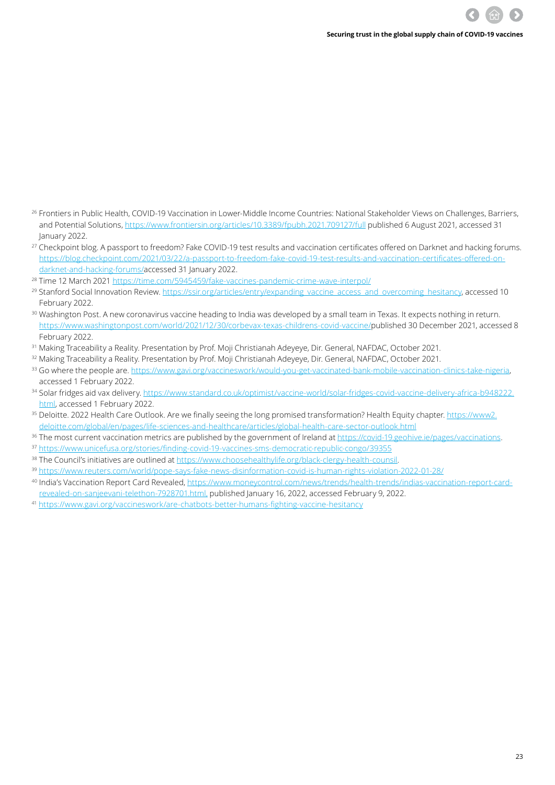- <sup>26</sup> Frontiers in Public Health, COVID-19 Vaccination in Lower-Middle Income Countries: National Stakeholder Views on Challenges, Barriers, and Potential Solutions, <https://www.frontiersin.org/articles/10.3389/fpubh.2021.709127/full> published 6 August 2021, accessed 31 January 2022.
- <sup>27</sup> Checkpoint blog. A passport to freedom? Fake COVID-19 test results and vaccination certificates offered on Darknet and hacking forums. [https://blog.checkpoint.com/2021/03/22/a-passport-to-freedom-fake-covid-19-test-results-and-vaccination-certificates-offered-on](https://blog.checkpoint.com/2021/03/22/a-passport-to-freedom-fake-covid-19-test-results-and-vaccination-certificates-offered-on-darknet-and-hacking-forums/)[darknet-and-hacking-forums/](https://blog.checkpoint.com/2021/03/22/a-passport-to-freedom-fake-covid-19-test-results-and-vaccination-certificates-offered-on-darknet-and-hacking-forums/)accessed 31 January 2022.
- <sup>28</sup> Time 12 March 2021 <https://time.com/5945459/fake-vaccines-pandemic-crime-wave-interpol/>
- <sup>29</sup> Stanford Social Innovation Review. [https://ssir.org/articles/entry/expanding\\_vaccine\\_access\\_and\\_overcoming\\_hesitancy](https://ssir.org/articles/entry/expanding_vaccine_access_and_overcoming_hesitancy), accessed 10 February 2022.
- <sup>30</sup> Washington Post. A new coronavirus vaccine heading to India was developed by a small team in Texas. It expects nothing in return. <https://www.washingtonpost.com/world/2021/12/30/corbevax-texas-childrens-covid-vaccine/>published 30 December 2021, accessed 8 February 2022.
- <sup>31</sup> Making Traceability a Reality. Presentation by Prof. Moji Christianah Adeyeye, Dir. General, NAFDAC, October 2021.
- <sup>32</sup> Making Traceability a Reality. Presentation by Prof. Moji Christianah Adeyeye, Dir. General, NAFDAC, October 2021.
- 33 Go where the people are. <https://www.gavi.org/vaccineswork/would-you-get-vaccinated-bank-mobile-vaccination-clinics-take-nigeria>, accessed 1 February 2022.
- 34 Solar fridges aid vax delivery. [https://www.standard.co.uk/optimist/vaccine-world/solar-fridges-covid-vaccine-delivery-africa-b948222.](https://www.standard.co.uk/optimist/vaccine-world/solar-fridges-covid-vaccine-delivery-africa-b948222.html) [html](https://www.standard.co.uk/optimist/vaccine-world/solar-fridges-covid-vaccine-delivery-africa-b948222.html), accessed 1 February 2022.
- 35 Deloitte. 2022 Health Care Outlook. Are we finally seeing the long promised transformation? Health Equity chapter. [https://www2.](https://www2.deloitte.com/global/en/pages/life-sciences-and-healthcare/articles/global-health-care-sector-outlook.html) [deloitte.com/global/en/pages/life-sciences-and-healthcare/articles/global-health-care-sector-outlook.html](https://www2.deloitte.com/global/en/pages/life-sciences-and-healthcare/articles/global-health-care-sector-outlook.html)
- <sup>36</sup> The most current vaccination metrics are published by the government of Ireland at<https://covid-19.geohive.ie/pages/vaccinations>.
- <sup>37</sup> <https://www.unicefusa.org/stories/finding-covid-19-vaccines-sms-democratic-republic-congo/39355>
- <sup>38</sup> The Council's initiatives are outlined at <https://www.choosehealthylife.org/black-clergy-health-counsil>.
- <sup>39</sup> <https://www.reuters.com/world/pope-says-fake-news-disinformation-covid-is-human-rights-violation-2022-01-28/>
- 40 India's Vaccination Report Card Revealed, [https://www.moneycontrol.com/news/trends/health-trends/indias-vaccination-report-card](https://www.moneycontrol.com/news/trends/health-trends/indias-vaccination-report-card-revealed-on-sanjeevani-telethon-7928701.html)[revealed-on-sanjeevani-telethon-7928701.html,](https://www.moneycontrol.com/news/trends/health-trends/indias-vaccination-report-card-revealed-on-sanjeevani-telethon-7928701.html) published January 16, 2022, accessed February 9, 2022.
- <sup>41</sup> <https://www.gavi.org/vaccineswork/are-chatbots-better-humans-fighting-vaccine-hesitancy>